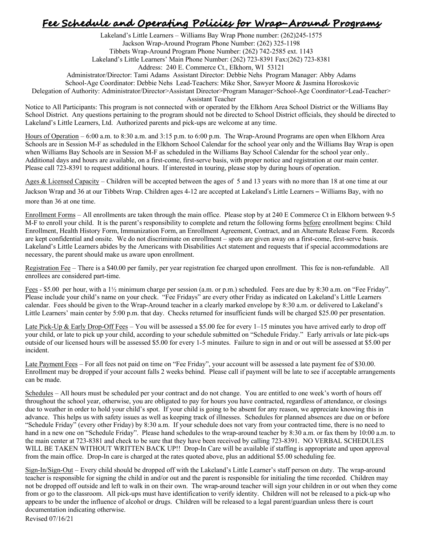## **Fee Schedule and Operating Policies for Wrap-Around Programs**

Lakeland's Little Learners – Williams Bay Wrap Phone number: (262)245-1575 Jackson Wrap-Around Program Phone Number: (262) 325-1198 Tibbets Wrap-Around Program Phone Number: (262) 742-2585 ext. 1143 Lakeland's Little Learners' Main Phone Number: (262) 723-8391 Fax:(262) 723-8381 Address: 240 E. Commerce Ct., Elkhorn, WI 53121

Administrator/Director: Tami Adams Assistant Director: Debbie Nehs Program Manager: Abby Adams

School-Age Coordinator: Debbie Nehs Lead-Teachers: Mike Shor, Sawyer Moore & Jasmina Horoskovic

Delegation of Authority: Administrator/Director>Assistant Director>Program Manager>School-Age Coordinator>Lead-Teacher>

Assistant Teacher

Notice to All Participants: This program is not connected with or operated by the Elkhorn Area School District or the Williams Bay School District. Any questions pertaining to the program should not be directed to School District officials, they should be directed to Lakeland's Little Learners, Ltd. Authorized parents and pick-ups are welcome at any time.

Hours of Operation – 6:00 a.m. to 8:30 a.m. and 3:15 p.m. to 6:00 p.m. The Wrap-Around Programs are open when Elkhorn Area Schools are in Session M-F as scheduled in the Elkhorn School Calendar for the school year only and the Williams Bay Wrap is open when Williams Bay Schools are in Session M-F as scheduled in the Williams Bay School Calendar for the school year only.. Additional days and hours are available, on a first-come, first-serve basis, with proper notice and registration at our main center. Please call 723-8391 to request additional hours. If interested in touring, please stop by during hours of operation.

Ages & Licensed Capacity – Children will be accepted between the ages of 5 and 13 years with no more than 18 at one time at our

Jackson Wrap and 36 at our Tibbets Wrap. Children ages 4-12 are accepted at Lakeland's Little Learners – Williams Bay, with no more than 36 at one time.

Enrollment Forms – All enrollments are taken through the main office. Please stop by at 240 E Commerce Ct in Elkhorn between 9-5 M-F to enroll your child. It is the parent's responsibility to complete and return the following forms before enrollment begins: Child Enrollment, Health History Form, Immunization Form, an Enrollment Agreement, Contract, and an Alternate Release Form. Records are kept confidential and onsite. We do not discriminate on enrollment – spots are given away on a first-come, first-serve basis. Lakeland's Little Learners abides by the Americans with Disabilities Act statement and requests that if special accommodations are necessary, the parent should make us aware upon enrollment.

Registration Fee – There is a \$40.00 per family, per year registration fee charged upon enrollment. This fee is non-refundable. All enrollees are considered part-time.

Fees - \$5.00 per hour, with a 1½ minimum charge per session (a.m. or p.m.) scheduled. Fees are due by 8:30 a.m. on "Fee Friday". Please include your child's name on your check. "Fee Fridays" are every other Friday as indicated on Lakeland's Little Learners calendar. Fees should be given to the Wrap-Around teacher in a clearly marked envelope by 8:30 a.m. or delivered to Lakeland's Little Learners' main center by 5:00 p.m. that day. Checks returned for insufficient funds will be charged \$25.00 per presentation.

Late Pick-Up & Early Drop-Off Fees – You will be assessed a \$5.00 fee for every 1–15 minutes you have arrived early to drop off your child, or late to pick up your child, according to your schedule submitted on "Schedule Friday."!!Early arrivals or late pick-ups outside of our licensed hours will be assessed \$5.00 for every 1-5 minutes. Failure to sign in and or out will be assessed at \$5.00 per incident.

Late Payment Fees – For all fees not paid on time on "Fee Friday", your account will be assessed a late payment fee of \$30.00. Enrollment may be dropped if your account falls 2 weeks behind. Please call if payment will be late to see if acceptable arrangements can be made.

Schedules – All hours must be scheduled per your contract and do not change. You are entitled to one week's worth of hours off throughout the school year, otherwise, you are obligated to pay for hours you have contracted, regardless of attendance, or closings due to weather in order to hold your child's spot. If your child is going to be absent for any reason, we appreciate knowing this in advance. This helps us with safety issues as well as keeping track of illnesses. Schedules for planned absences are due on or before "Schedule Friday" (every other Friday) by 8:30 a.m. If your schedule does not vary from your contracted time, there is no need to hand in a new one on "Schedule Friday". Please hand schedules to the wrap-around teacher by 8:30 a.m. or fax them by 10:00 a.m. to the main center at 723-8381 and check to be sure that they have been received by calling 723-8391. NO VERBAL SCHEDULES WILL BE TAKEN WITHOUT WRITTEN BACK UP!! Drop-In Care will be available if staffing is appropriate and upon approval from the main office. Drop-In care is charged at the rates quoted above, plus an additional \$5.00 scheduling fee.

Sign-In/Sign-Out – Every child should be dropped off with the Lakeland's Little Learner's staff person on duty. The wrap-around teacher is responsible for signing the child in and/or out and the parent is responsible for initialing the time recorded. Children may not be dropped off outside and left to walk in on their own. The wrap-around teacher will sign your children in or out when they come from or go to the classroom. All pick-ups must have identification to verify identity. Children will not be released to a pick-up who appears to be under the influence of alcohol or drugs. Children will be released to a legal parent/guardian unless there is court documentation indicating otherwise.

Revised 07/16/21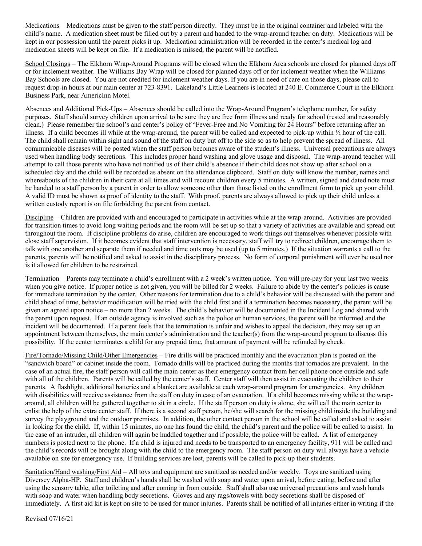Medications – Medications must be given to the staff person directly. They must be in the original container and labeled with the child's name. A medication sheet must be filled out by a parent and handed to the wrap-around teacher on duty. Medications will be kept in our possession until the parent picks it up. Medication administration will be recorded in the center's medical log and medication sheets will be kept on file. If a medication is missed, the parent will be notified.

School Closings – The Elkhorn Wrap-Around Programs will be closed when the Elkhorn Area schools are closed for planned days off or for inclement weather. The Williams Bay Wrap will be closed for planned days off or for inclement weather when the Williams Bay Schools are closed. You are not credited for inclement weather days. If you are in need of care on those days, please call to request drop-in hours at our main center at 723-8391. Lakeland's Little Learners is located at 240 E. Commerce Court in the Elkhorn Business Park, near AmericInn Motel.

Absences and Additional Pick-Ups – Absences should be called into the Wrap-Around Program's telephone number, for safety purposes. Staff should survey children upon arrival to be sure they are free from illness and ready for school (rested and reasonably clean.) Please remember the school's and center's policy of "Fever-Free and No Vomiting for 24 Hours" before returning after an illness. If a child becomes ill while at the wrap-around, the parent will be called and expected to pick-up within ½ hour of the call. The child shall remain within sight and sound of the staff on duty but off to the side so as to help prevent the spread of illness. All communicable diseases will be posted when the staff person becomes aware of the student's illness. Universal precautions are always used when handling body secretions. This includes proper hand washing and glove usage and disposal. The wrap-around teacher will attempt to call those parents who have not notified us of their child's absence if their child does not show up after school on a scheduled day and the child will be recorded as absent on the attendance clipboard. Staff on duty will know the number, names and whereabouts of the children in their care at all times and will recount children every 5 minutes. A written, signed and dated note must be handed to a staff person by a parent in order to allow someone other than those listed on the enrollment form to pick up your child. A valid ID must be shown as proof of identity to the staff. With proof, parents are always allowed to pick up their child unless a written custody report is on file forbidding the parent from contact.

Discipline – Children are provided with and encouraged to participate in activities while at the wrap-around. Activities are provided for transition times to avoid long waiting periods and the room will be set up so that a variety of activities are available and spread out throughout the room. If discipline problems do arise, children are encouraged to work things out themselves whenever possible with close staff supervision. If it becomes evident that staff intervention is necessary, staff will try to redirect children, encourage them to talk with one another and separate them if needed and time outs may be used (up to 5 minutes.) If the situation warrants a call to the parents, parents will be notified and asked to assist in the disciplinary process. No form of corporal punishment will ever be used nor is it allowed for children to be restrained.

Termination – Parents may terminate a child's enrollment with a 2 week's written notice. You will pre-pay for your last two weeks when you give notice. If proper notice is not given, you will be billed for 2 weeks. Failure to abide by the center's policies is cause for immediate termination by the center. Other reasons for termination due to a child's behavior will be discussed with the parent and child ahead of time, behavior modification will be tried with the child first and if a termination becomes necessary, the parent will be given an agreed upon notice – no more than 2 weeks. The child's behavior will be documented in the Incident Log and shared with the parent upon request. If an outside agency is involved such as the police or human services, the parent will be informed and the incident will be documented. If a parent feels that the termination is unfair and wishes to appeal the decision, they may set up an appointment between themselves, the main center's administration and the teacher(s) from the wrap-around program to discuss this possibility. If the center terminates a child for any prepaid time, that amount of payment will be refunded by check.

Fire/Tornado/Missing Child/Other Emergencies – Fire drills will be practiced monthly and the evacuation plan is posted on the "sandwich board" or cabinet inside the room. Tornado drills will be practiced during the months that tornados are prevalent. In the case of an actual fire, the staff person will call the main center as their emergency contact from her cell phone once outside and safe with all of the children. Parents will be called by the center's staff. Center staff will then assist in evacuating the children to their parents. A flashlight, additional batteries and a blanket are available at each wrap-around program for emergencies. Any children with disabilities will receive assistance from the staff on duty in case of an evacuation. If a child becomes missing while at the wraparound, all children will be gathered together to sit in a circle. If the staff person on duty is alone, she will call the main center to enlist the help of the extra center staff. If there is a second staff person, he/she will search for the missing child inside the building and survey the playground and the outdoor premises. In addition, the other contact person in the school will be called and asked to assist in looking for the child. If, within 15 minutes, no one has found the child, the child's parent and the police will be called to assist. In the case of an intruder, all children will again be huddled together and if possible, the police will be called. A list of emergency numbers is posted next to the phone. If a child is injured and needs to be transported to an emergency facility, 911 will be called and the child's records will be brought along with the child to the emergency room. The staff person on duty will always have a vehicle available on site for emergency use. If building services are lost, parents will be called to pick-up their students.

Sanitation/Hand washing/First Aid – All toys and equipment are sanitized as needed and/or weekly. Toys are sanitized using Diversey Alpha-HP. Staff and children's hands shall be washed with soap and water upon arrival, before eating, before and after using the sensory table, after toileting and after coming in from outside. Staff shall also use universal precautions and wash hands with soap and water when handling body secretions. Gloves and any rags/towels with body secretions shall be disposed of immediately. A first aid kit is kept on site to be used for minor injuries. Parents shall be notified of all injuries either in writing if the